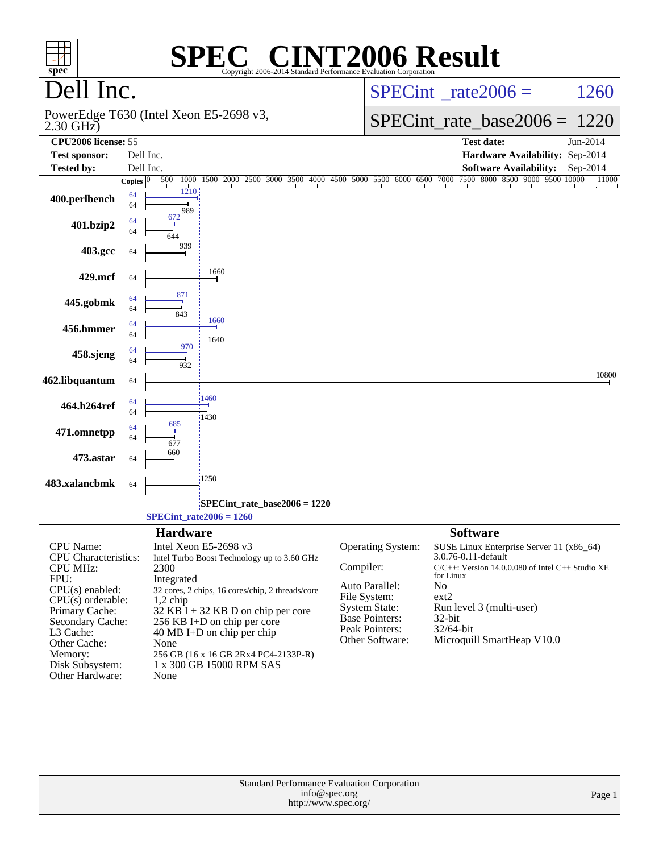| $spec^*$                                                                                                                                                                                    |                    | $\blacksquare$<br>Copyright 2006-2014 Standard Performance Evaluation Corporation                                                                                                                                                                                                                                           |           |                                                                                                                                    | <b>NT2006 Result</b>                                                                                                                                                                                                                             |                   |
|---------------------------------------------------------------------------------------------------------------------------------------------------------------------------------------------|--------------------|-----------------------------------------------------------------------------------------------------------------------------------------------------------------------------------------------------------------------------------------------------------------------------------------------------------------------------|-----------|------------------------------------------------------------------------------------------------------------------------------------|--------------------------------------------------------------------------------------------------------------------------------------------------------------------------------------------------------------------------------------------------|-------------------|
| Dell Inc.                                                                                                                                                                                   |                    |                                                                                                                                                                                                                                                                                                                             |           | $SPECint^{\circ}$ <sub>_rate2006</sub> =                                                                                           | 1260                                                                                                                                                                                                                                             |                   |
| $2.30$ GHz $)$                                                                                                                                                                              |                    | PowerEdge T630 (Intel Xeon E5-2698 v3,                                                                                                                                                                                                                                                                                      |           |                                                                                                                                    | $SPECint_rate\_base2006 =$                                                                                                                                                                                                                       | 1220              |
| CPU2006 license: 55                                                                                                                                                                         |                    |                                                                                                                                                                                                                                                                                                                             |           |                                                                                                                                    | <b>Test date:</b>                                                                                                                                                                                                                                | Jun-2014          |
| <b>Test sponsor:</b>                                                                                                                                                                        |                    | Dell Inc.                                                                                                                                                                                                                                                                                                                   |           |                                                                                                                                    | Hardware Availability: Sep-2014                                                                                                                                                                                                                  |                   |
| <b>Tested by:</b>                                                                                                                                                                           | Copies $ 0\rangle$ | Dell Inc.<br>1500<br>2000<br>500<br>1000                                                                                                                                                                                                                                                                                    |           | 2500 3000 3500 4000 4500 5000 5500 6000 6500 7000                                                                                  | <b>Software Availability:</b><br>7500 8000 8500 9000 9500 10000                                                                                                                                                                                  | Sep-2014<br>11000 |
| 400.perlbench                                                                                                                                                                               | 64<br>64           | 1210<br>989                                                                                                                                                                                                                                                                                                                 |           |                                                                                                                                    |                                                                                                                                                                                                                                                  |                   |
| 401.bzip2                                                                                                                                                                                   | 64<br>64           | 672                                                                                                                                                                                                                                                                                                                         |           |                                                                                                                                    |                                                                                                                                                                                                                                                  |                   |
| 403.gcc                                                                                                                                                                                     | 64                 | 939                                                                                                                                                                                                                                                                                                                         |           |                                                                                                                                    |                                                                                                                                                                                                                                                  |                   |
| 429.mcf                                                                                                                                                                                     | 64                 | 1660                                                                                                                                                                                                                                                                                                                        |           |                                                                                                                                    |                                                                                                                                                                                                                                                  |                   |
| 445.gobmk                                                                                                                                                                                   | 64<br>64           | 871<br>843<br>1660                                                                                                                                                                                                                                                                                                          |           |                                                                                                                                    |                                                                                                                                                                                                                                                  |                   |
| 456.hmmer                                                                                                                                                                                   | 64<br>64           | 1640                                                                                                                                                                                                                                                                                                                        |           |                                                                                                                                    |                                                                                                                                                                                                                                                  |                   |
| 458.sjeng                                                                                                                                                                                   | 64<br>64           | 970<br>932                                                                                                                                                                                                                                                                                                                  |           |                                                                                                                                    |                                                                                                                                                                                                                                                  |                   |
| 462.libquantum                                                                                                                                                                              | 64                 |                                                                                                                                                                                                                                                                                                                             |           |                                                                                                                                    |                                                                                                                                                                                                                                                  | 10800             |
| 464.h264ref                                                                                                                                                                                 | 64<br>64           | 1460<br>1430<br>685                                                                                                                                                                                                                                                                                                         |           |                                                                                                                                    |                                                                                                                                                                                                                                                  |                   |
| 471.omnetpp                                                                                                                                                                                 | 64<br>64           | 677<br>660                                                                                                                                                                                                                                                                                                                  |           |                                                                                                                                    |                                                                                                                                                                                                                                                  |                   |
| 473.astar                                                                                                                                                                                   | 64                 |                                                                                                                                                                                                                                                                                                                             |           |                                                                                                                                    |                                                                                                                                                                                                                                                  |                   |
| 483.xalancbmk                                                                                                                                                                               | 64                 | 1250                                                                                                                                                                                                                                                                                                                        |           |                                                                                                                                    |                                                                                                                                                                                                                                                  |                   |
|                                                                                                                                                                                             |                    | SPECint rate base $2006 = 1220$<br>$SPECint_rate2006 = 1260$                                                                                                                                                                                                                                                                |           |                                                                                                                                    |                                                                                                                                                                                                                                                  |                   |
|                                                                                                                                                                                             |                    | <b>Hardware</b>                                                                                                                                                                                                                                                                                                             |           |                                                                                                                                    | <b>Software</b>                                                                                                                                                                                                                                  |                   |
| CPU Name:<br><b>CPU</b> Characteristics:<br><b>CPU MHz:</b><br>FPU:<br>CPU(s) enabled:<br>$CPU(s)$ orderable:<br>Primary Cache:<br>Secondary Cache:<br>L3 Cache:<br>Other Cache:<br>Memory: |                    | Intel Xeon E5-2698 v3<br>Intel Turbo Boost Technology up to 3.60 GHz<br>2300<br>Integrated<br>32 cores, 2 chips, 16 cores/chip, 2 threads/core<br>$1,2$ chip<br>$32$ KB I + 32 KB D on chip per core<br>256 KB I+D on chip per core<br>$40 \text{ MB I+D}$ on chip per chip<br>None<br>256 GB (16 x 16 GB 2Rx4 PC4-2133P-R) | Compiler: | Operating System:<br>Auto Parallel:<br>File System:<br><b>System State:</b><br>Base Pointers:<br>Peak Pointers:<br>Other Software: | SUSE Linux Enterprise Server 11 (x86_64)<br>3.0.76-0.11-default<br>$C/C++$ : Version 14.0.0.080 of Intel $C++$ Studio XE<br>for Linux<br>N <sub>o</sub><br>ext2<br>Run level 3 (multi-user)<br>32-bit<br>32/64-bit<br>Microquill SmartHeap V10.0 |                   |
| Disk Subsystem:<br>Other Hardware:                                                                                                                                                          |                    | 1 x 300 GB 15000 RPM SAS<br>None                                                                                                                                                                                                                                                                                            |           |                                                                                                                                    |                                                                                                                                                                                                                                                  |                   |
|                                                                                                                                                                                             |                    | Standard Performance Evaluation Corporation<br>info@spec.org<br>http://www.spec.org/                                                                                                                                                                                                                                        |           | Page 1                                                                                                                             |                                                                                                                                                                                                                                                  |                   |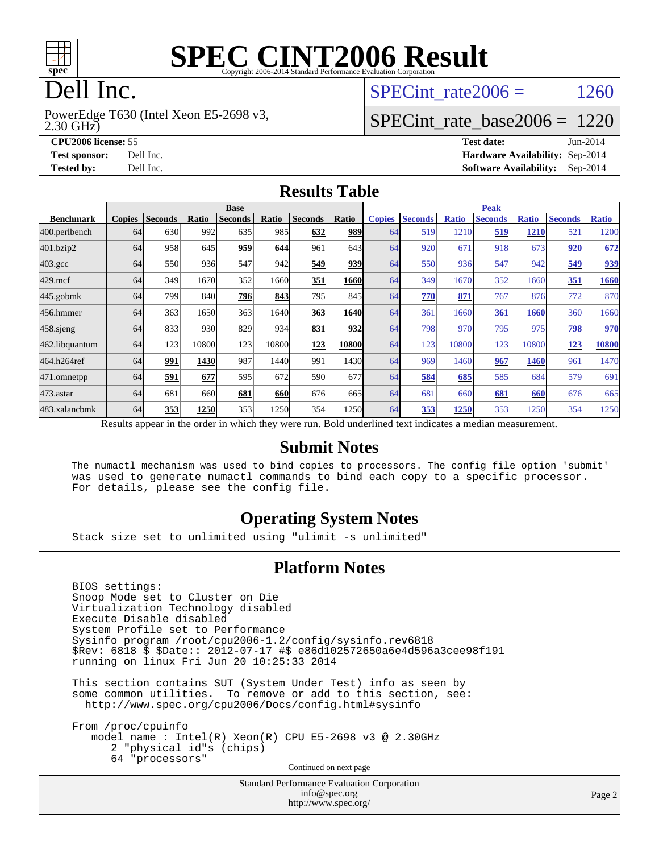

# **[SPEC CINT2006 Result](http://www.spec.org/auto/cpu2006/Docs/result-fields.html#SPECCINT2006Result)**

# Dell Inc.

2.30 GHz) PowerEdge T630 (Intel Xeon E5-2698 v3, SPECint rate  $2006 = 1260$ 

## [SPECint\\_rate\\_base2006 =](http://www.spec.org/auto/cpu2006/Docs/result-fields.html#SPECintratebase2006) 1220

**[CPU2006 license:](http://www.spec.org/auto/cpu2006/Docs/result-fields.html#CPU2006license)** 55 **[Test date:](http://www.spec.org/auto/cpu2006/Docs/result-fields.html#Testdate)** Jun-2014 **[Test sponsor:](http://www.spec.org/auto/cpu2006/Docs/result-fields.html#Testsponsor)** Dell Inc. **[Hardware Availability:](http://www.spec.org/auto/cpu2006/Docs/result-fields.html#HardwareAvailability)** Sep-2014 **[Tested by:](http://www.spec.org/auto/cpu2006/Docs/result-fields.html#Testedby)** Dell Inc. **[Software Availability:](http://www.spec.org/auto/cpu2006/Docs/result-fields.html#SoftwareAvailability)** Sep-2014

#### **[Results Table](http://www.spec.org/auto/cpu2006/Docs/result-fields.html#ResultsTable)**

|                                                                                                          | <b>Base</b>   |                |              |                |       |                |       | <b>Peak</b>   |                |              |                |              |                |              |
|----------------------------------------------------------------------------------------------------------|---------------|----------------|--------------|----------------|-------|----------------|-------|---------------|----------------|--------------|----------------|--------------|----------------|--------------|
| <b>Benchmark</b>                                                                                         | <b>Copies</b> | <b>Seconds</b> | <b>Ratio</b> | <b>Seconds</b> | Ratio | <b>Seconds</b> | Ratio | <b>Copies</b> | <b>Seconds</b> | <b>Ratio</b> | <b>Seconds</b> | <b>Ratio</b> | <b>Seconds</b> | <b>Ratio</b> |
| 400.perlbench                                                                                            | 64            | 630            | 992          | 635            | 985I  | 632            | 989   | 64            | 519            | 1210         | 519            | <b>1210</b>  | 521            | 1200         |
| 401.bzip2                                                                                                | 64            | 958            | 645          | 959            | 644   | 961            | 643   | 64            | 920            | 671          | 918            | 673          | 920            | 672          |
| $403.\mathrm{gcc}$                                                                                       | 64            | 550            | 936          | 547            | 942   | 549            | 939   | 64            | 550            | 936          | 547            | 942          | 549            | 939          |
| $429$ .mcf                                                                                               | 64            | 349            | 1670         | 352            | 1660  | 351            | 1660  | 64            | 349            | 1670         | 352            | 1660         | 351            | 1660         |
| $445$ .gobmk                                                                                             | 64            | 799            | 840          | 796            | 843   | 795            | 845   | 64            | 770            | 871          | 767            | 876          | 772            | 870          |
| 456.hmmer                                                                                                | 64            | 363            | 1650         | 363            | 1640  | 363            | 1640  | 64            | 361            | 1660         | 361            | 1660         | 360            | 1660         |
| $458$ .sjeng                                                                                             | 64            | 833            | 930          | 829            | 934   | 831            | 932   | 64            | 798            | 970          | 795            | 975          | 798            | 970          |
| 462.libquantum                                                                                           | 64            | 123            | 10800        | 123            | 10800 | 123            | 10800 | 64            | 123            | 10800        | 123            | 10800        | 123            | 10800        |
| 464.h264ref                                                                                              | 64            | 991            | 1430         | 987            | 1440  | 991            | 1430  | 64            | 969            | 1460         | 967            | 1460         | 961            | 1470         |
| 471.omnetpp                                                                                              | 64            | 591            | 677          | 595            | 672   | 590            | 677   | 64            | 584            | 685          | 585            | 684          | 579            | 691          |
| $473$ . astar                                                                                            | 64            | 681            | 660          | 681            | 660   | 676            | 665I  | 64            | 681            | 660          | 681            | 660          | 676            | 665          |
| 483.xalancbmk                                                                                            | 64            | 353            | 1250         | 353            | 1250  | 354            | 1250  | 64            | 353            | 1250         | 353            | 1250         | 354            | 1250         |
| Results appear in the order in which they were run. Bold underlined text indicates a median measurement. |               |                |              |                |       |                |       |               |                |              |                |              |                |              |

#### **[Submit Notes](http://www.spec.org/auto/cpu2006/Docs/result-fields.html#SubmitNotes)**

 The numactl mechanism was used to bind copies to processors. The config file option 'submit' was used to generate numactl commands to bind each copy to a specific processor. For details, please see the config file.

#### **[Operating System Notes](http://www.spec.org/auto/cpu2006/Docs/result-fields.html#OperatingSystemNotes)**

Stack size set to unlimited using "ulimit -s unlimited"

#### **[Platform Notes](http://www.spec.org/auto/cpu2006/Docs/result-fields.html#PlatformNotes)**

 BIOS settings: Snoop Mode set to Cluster on Die Virtualization Technology disabled Execute Disable disabled System Profile set to Performance Sysinfo program /root/cpu2006-1.2/config/sysinfo.rev6818 \$Rev: 6818 \$ \$Date:: 2012-07-17 #\$ e86d102572650a6e4d596a3cee98f191 running on linux Fri Jun 20 10:25:33 2014

 This section contains SUT (System Under Test) info as seen by some common utilities. To remove or add to this section, see: <http://www.spec.org/cpu2006/Docs/config.html#sysinfo>

 From /proc/cpuinfo model name : Intel(R) Xeon(R) CPU E5-2698 v3 @ 2.30GHz 2 "physical id"s (chips) 64 "processors" Continued on next page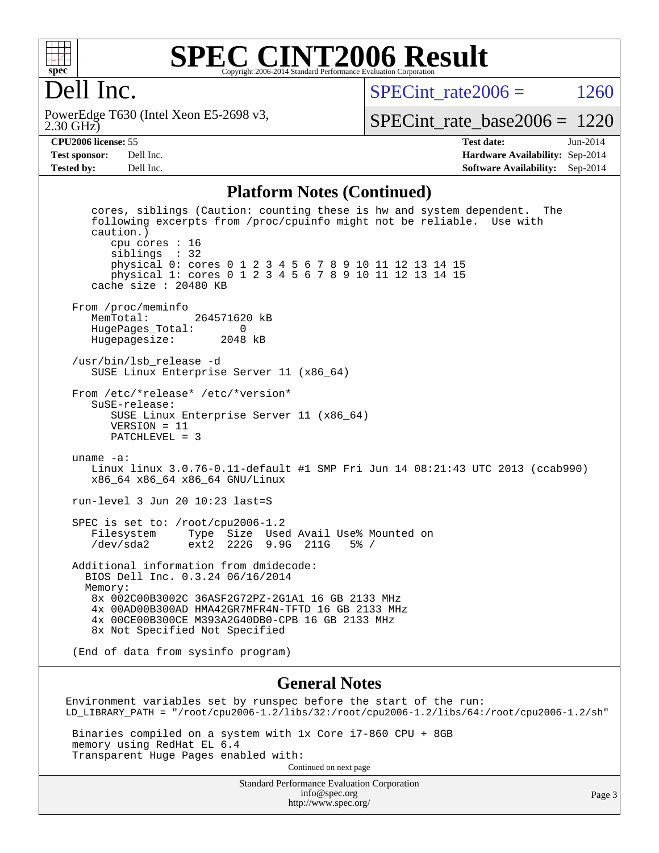

#### **[SPEC CINT2006 Result](http://www.spec.org/auto/cpu2006/Docs/result-fields.html#SPECCINT2006Result)** Copyright 2006-2014 Standard Performance Evaluation Corporation

# Dell Inc.

2.30 GHz) PowerEdge T630 (Intel Xeon E5-2698 v3, SPECint rate  $2006 = 1260$ 

[SPECint\\_rate\\_base2006 =](http://www.spec.org/auto/cpu2006/Docs/result-fields.html#SPECintratebase2006) 1220

**[CPU2006 license:](http://www.spec.org/auto/cpu2006/Docs/result-fields.html#CPU2006license)** 55 **[Test date:](http://www.spec.org/auto/cpu2006/Docs/result-fields.html#Testdate)** Jun-2014 **[Test sponsor:](http://www.spec.org/auto/cpu2006/Docs/result-fields.html#Testsponsor)** Dell Inc. **[Hardware Availability:](http://www.spec.org/auto/cpu2006/Docs/result-fields.html#HardwareAvailability)** Sep-2014 **[Tested by:](http://www.spec.org/auto/cpu2006/Docs/result-fields.html#Testedby)** Dell Inc. **[Software Availability:](http://www.spec.org/auto/cpu2006/Docs/result-fields.html#SoftwareAvailability)** Sep-2014

#### **[Platform Notes \(Continued\)](http://www.spec.org/auto/cpu2006/Docs/result-fields.html#PlatformNotes)**

 cores, siblings (Caution: counting these is hw and system dependent. The following excerpts from /proc/cpuinfo might not be reliable. Use with caution.) cpu cores : 16 siblings : 32 physical 0: cores 0 1 2 3 4 5 6 7 8 9 10 11 12 13 14 15 physical 1: cores 0 1 2 3 4 5 6 7 8 9 10 11 12 13 14 15 cache size : 20480 KB From /proc/meminfo<br>MemTotal: 264571620 kB HugePages\_Total: 0 Hugepagesize: 2048 kB /usr/bin/lsb\_release -d SUSE Linux Enterprise Server 11 (x86\_64) From /etc/\*release\* /etc/\*version\* SuSE-release: SUSE Linux Enterprise Server 11 (x86\_64) VERSION = 11 PATCHLEVEL = 3 uname -a: Linux linux 3.0.76-0.11-default #1 SMP Fri Jun 14 08:21:43 UTC 2013 (ccab990) x86\_64 x86\_64 x86\_64 GNU/Linux run-level 3 Jun 20 10:23 last=S SPEC is set to: /root/cpu2006-1.2 Filesystem Type Size Used Avail Use% Mounted on /dev/sda2 ext2 222G 9.9G 211G 5% / Additional information from dmidecode: BIOS Dell Inc. 0.3.24 06/16/2014 Memory: 8x 002C00B3002C 36ASF2G72PZ-2G1A1 16 GB 2133 MHz 4x 00AD00B300AD HMA42GR7MFR4N-TFTD 16 GB 2133 MHz 4x 00CE00B300CE M393A2G40DB0-CPB 16 GB 2133 MHz 8x Not Specified Not Specified (End of data from sysinfo program)

#### **[General Notes](http://www.spec.org/auto/cpu2006/Docs/result-fields.html#GeneralNotes)**

Environment variables set by runspec before the start of the run: LD\_LIBRARY\_PATH = "/root/cpu2006-1.2/libs/32:/root/cpu2006-1.2/libs/64:/root/cpu2006-1.2/sh"

 Binaries compiled on a system with 1x Core i7-860 CPU + 8GB memory using RedHat EL 6.4 Transparent Huge Pages enabled with: Continued on next page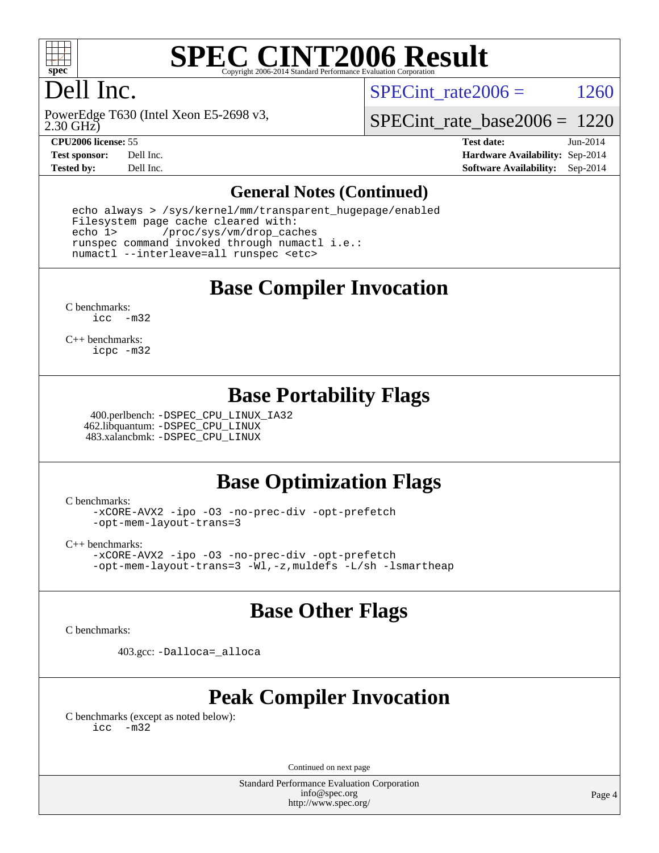

# **[SPEC CINT2006 Result](http://www.spec.org/auto/cpu2006/Docs/result-fields.html#SPECCINT2006Result)**

# Dell Inc.

SPECint rate  $2006 = 1260$ 

2.30 GHz) PowerEdge T630 (Intel Xeon E5-2698 v3,

[SPECint\\_rate\\_base2006 =](http://www.spec.org/auto/cpu2006/Docs/result-fields.html#SPECintratebase2006) 1220

**[CPU2006 license:](http://www.spec.org/auto/cpu2006/Docs/result-fields.html#CPU2006license)** 55 **[Test date:](http://www.spec.org/auto/cpu2006/Docs/result-fields.html#Testdate)** Jun-2014 **[Test sponsor:](http://www.spec.org/auto/cpu2006/Docs/result-fields.html#Testsponsor)** Dell Inc. **[Hardware Availability:](http://www.spec.org/auto/cpu2006/Docs/result-fields.html#HardwareAvailability)** Sep-2014 **[Tested by:](http://www.spec.org/auto/cpu2006/Docs/result-fields.html#Testedby)** Dell Inc. **[Software Availability:](http://www.spec.org/auto/cpu2006/Docs/result-fields.html#SoftwareAvailability)** Sep-2014

#### **[General Notes \(Continued\)](http://www.spec.org/auto/cpu2006/Docs/result-fields.html#GeneralNotes)**

 echo always > /sys/kernel/mm/transparent\_hugepage/enabled Filesystem page cache cleared with: echo 1> /proc/sys/vm/drop\_caches runspec command invoked through numactl i.e.: numactl --interleave=all runspec <etc>

**[Base Compiler Invocation](http://www.spec.org/auto/cpu2006/Docs/result-fields.html#BaseCompilerInvocation)**

[C benchmarks](http://www.spec.org/auto/cpu2006/Docs/result-fields.html#Cbenchmarks): [icc -m32](http://www.spec.org/cpu2006/results/res2014q3/cpu2006-20140909-31391.flags.html#user_CCbase_intel_icc_5ff4a39e364c98233615fdd38438c6f2)

[C++ benchmarks:](http://www.spec.org/auto/cpu2006/Docs/result-fields.html#CXXbenchmarks) [icpc -m32](http://www.spec.org/cpu2006/results/res2014q3/cpu2006-20140909-31391.flags.html#user_CXXbase_intel_icpc_4e5a5ef1a53fd332b3c49e69c3330699)

#### **[Base Portability Flags](http://www.spec.org/auto/cpu2006/Docs/result-fields.html#BasePortabilityFlags)**

 400.perlbench: [-DSPEC\\_CPU\\_LINUX\\_IA32](http://www.spec.org/cpu2006/results/res2014q3/cpu2006-20140909-31391.flags.html#b400.perlbench_baseCPORTABILITY_DSPEC_CPU_LINUX_IA32) 462.libquantum: [-DSPEC\\_CPU\\_LINUX](http://www.spec.org/cpu2006/results/res2014q3/cpu2006-20140909-31391.flags.html#b462.libquantum_baseCPORTABILITY_DSPEC_CPU_LINUX) 483.xalancbmk: [-DSPEC\\_CPU\\_LINUX](http://www.spec.org/cpu2006/results/res2014q3/cpu2006-20140909-31391.flags.html#b483.xalancbmk_baseCXXPORTABILITY_DSPEC_CPU_LINUX)

## **[Base Optimization Flags](http://www.spec.org/auto/cpu2006/Docs/result-fields.html#BaseOptimizationFlags)**

[C benchmarks](http://www.spec.org/auto/cpu2006/Docs/result-fields.html#Cbenchmarks):

[-xCORE-AVX2](http://www.spec.org/cpu2006/results/res2014q3/cpu2006-20140909-31391.flags.html#user_CCbase_f-xAVX2_5f5fc0cbe2c9f62c816d3e45806c70d7) [-ipo](http://www.spec.org/cpu2006/results/res2014q3/cpu2006-20140909-31391.flags.html#user_CCbase_f-ipo) [-O3](http://www.spec.org/cpu2006/results/res2014q3/cpu2006-20140909-31391.flags.html#user_CCbase_f-O3) [-no-prec-div](http://www.spec.org/cpu2006/results/res2014q3/cpu2006-20140909-31391.flags.html#user_CCbase_f-no-prec-div) [-opt-prefetch](http://www.spec.org/cpu2006/results/res2014q3/cpu2006-20140909-31391.flags.html#user_CCbase_f-opt-prefetch) [-opt-mem-layout-trans=3](http://www.spec.org/cpu2006/results/res2014q3/cpu2006-20140909-31391.flags.html#user_CCbase_f-opt-mem-layout-trans_a7b82ad4bd7abf52556d4961a2ae94d5)

[C++ benchmarks:](http://www.spec.org/auto/cpu2006/Docs/result-fields.html#CXXbenchmarks)

[-xCORE-AVX2](http://www.spec.org/cpu2006/results/res2014q3/cpu2006-20140909-31391.flags.html#user_CXXbase_f-xAVX2_5f5fc0cbe2c9f62c816d3e45806c70d7) [-ipo](http://www.spec.org/cpu2006/results/res2014q3/cpu2006-20140909-31391.flags.html#user_CXXbase_f-ipo) [-O3](http://www.spec.org/cpu2006/results/res2014q3/cpu2006-20140909-31391.flags.html#user_CXXbase_f-O3) [-no-prec-div](http://www.spec.org/cpu2006/results/res2014q3/cpu2006-20140909-31391.flags.html#user_CXXbase_f-no-prec-div) [-opt-prefetch](http://www.spec.org/cpu2006/results/res2014q3/cpu2006-20140909-31391.flags.html#user_CXXbase_f-opt-prefetch) [-opt-mem-layout-trans=3](http://www.spec.org/cpu2006/results/res2014q3/cpu2006-20140909-31391.flags.html#user_CXXbase_f-opt-mem-layout-trans_a7b82ad4bd7abf52556d4961a2ae94d5) [-Wl,-z,muldefs](http://www.spec.org/cpu2006/results/res2014q3/cpu2006-20140909-31391.flags.html#user_CXXbase_link_force_multiple1_74079c344b956b9658436fd1b6dd3a8a) [-L/sh -lsmartheap](http://www.spec.org/cpu2006/results/res2014q3/cpu2006-20140909-31391.flags.html#user_CXXbase_SmartHeap_32f6c82aa1ed9c52345d30cf6e4a0499)

#### **[Base Other Flags](http://www.spec.org/auto/cpu2006/Docs/result-fields.html#BaseOtherFlags)**

[C benchmarks](http://www.spec.org/auto/cpu2006/Docs/result-fields.html#Cbenchmarks):

403.gcc: [-Dalloca=\\_alloca](http://www.spec.org/cpu2006/results/res2014q3/cpu2006-20140909-31391.flags.html#b403.gcc_baseEXTRA_CFLAGS_Dalloca_be3056838c12de2578596ca5467af7f3)

## **[Peak Compiler Invocation](http://www.spec.org/auto/cpu2006/Docs/result-fields.html#PeakCompilerInvocation)**

[C benchmarks \(except as noted below\)](http://www.spec.org/auto/cpu2006/Docs/result-fields.html#Cbenchmarksexceptasnotedbelow): [icc -m32](http://www.spec.org/cpu2006/results/res2014q3/cpu2006-20140909-31391.flags.html#user_CCpeak_intel_icc_5ff4a39e364c98233615fdd38438c6f2)

Continued on next page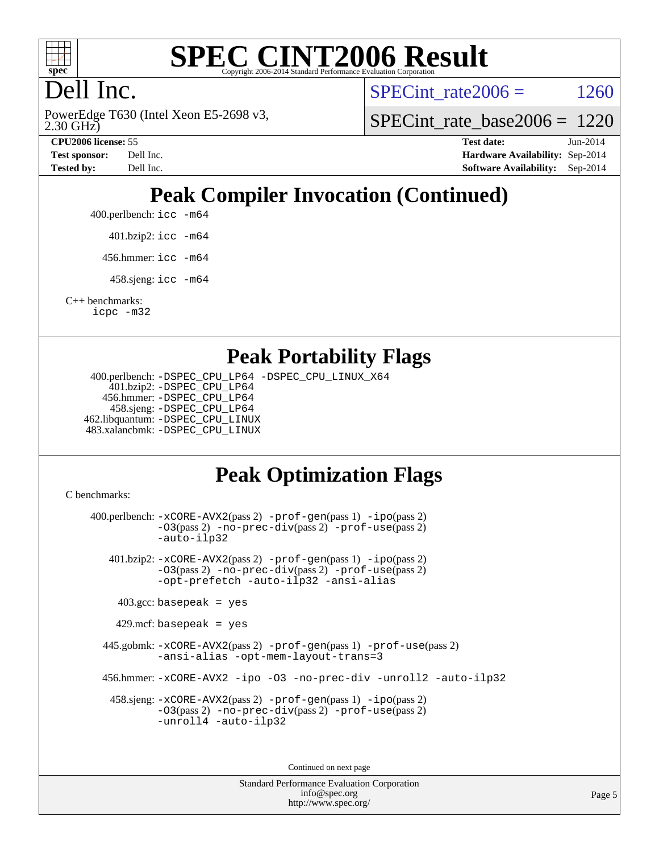

#### **[SPEC CINT2006 Result](http://www.spec.org/auto/cpu2006/Docs/result-fields.html#SPECCINT2006Result)** Copyright 2006-2014 Standard Performance Evaluation C

# Dell Inc.

2.30 GHz) PowerEdge T630 (Intel Xeon E5-2698 v3, SPECint rate  $2006 = 1260$ 

[SPECint\\_rate\\_base2006 =](http://www.spec.org/auto/cpu2006/Docs/result-fields.html#SPECintratebase2006) 1220

**[CPU2006 license:](http://www.spec.org/auto/cpu2006/Docs/result-fields.html#CPU2006license)** 55 **[Test date:](http://www.spec.org/auto/cpu2006/Docs/result-fields.html#Testdate)** Jun-2014 **[Test sponsor:](http://www.spec.org/auto/cpu2006/Docs/result-fields.html#Testsponsor)** Dell Inc. **[Hardware Availability:](http://www.spec.org/auto/cpu2006/Docs/result-fields.html#HardwareAvailability)** Sep-2014 **[Tested by:](http://www.spec.org/auto/cpu2006/Docs/result-fields.html#Testedby)** Dell Inc. **[Software Availability:](http://www.spec.org/auto/cpu2006/Docs/result-fields.html#SoftwareAvailability)** Sep-2014

# **[Peak Compiler Invocation \(Continued\)](http://www.spec.org/auto/cpu2006/Docs/result-fields.html#PeakCompilerInvocation)**

400.perlbench: [icc -m64](http://www.spec.org/cpu2006/results/res2014q3/cpu2006-20140909-31391.flags.html#user_peakCCLD400_perlbench_intel_icc_64bit_bda6cc9af1fdbb0edc3795bac97ada53)

401.bzip2: [icc -m64](http://www.spec.org/cpu2006/results/res2014q3/cpu2006-20140909-31391.flags.html#user_peakCCLD401_bzip2_intel_icc_64bit_bda6cc9af1fdbb0edc3795bac97ada53)

456.hmmer: [icc -m64](http://www.spec.org/cpu2006/results/res2014q3/cpu2006-20140909-31391.flags.html#user_peakCCLD456_hmmer_intel_icc_64bit_bda6cc9af1fdbb0edc3795bac97ada53)

458.sjeng: [icc -m64](http://www.spec.org/cpu2006/results/res2014q3/cpu2006-20140909-31391.flags.html#user_peakCCLD458_sjeng_intel_icc_64bit_bda6cc9af1fdbb0edc3795bac97ada53)

[C++ benchmarks:](http://www.spec.org/auto/cpu2006/Docs/result-fields.html#CXXbenchmarks) [icpc -m32](http://www.spec.org/cpu2006/results/res2014q3/cpu2006-20140909-31391.flags.html#user_CXXpeak_intel_icpc_4e5a5ef1a53fd332b3c49e69c3330699)

#### **[Peak Portability Flags](http://www.spec.org/auto/cpu2006/Docs/result-fields.html#PeakPortabilityFlags)**

 400.perlbench: [-DSPEC\\_CPU\\_LP64](http://www.spec.org/cpu2006/results/res2014q3/cpu2006-20140909-31391.flags.html#b400.perlbench_peakCPORTABILITY_DSPEC_CPU_LP64) [-DSPEC\\_CPU\\_LINUX\\_X64](http://www.spec.org/cpu2006/results/res2014q3/cpu2006-20140909-31391.flags.html#b400.perlbench_peakCPORTABILITY_DSPEC_CPU_LINUX_X64) 401.bzip2: [-DSPEC\\_CPU\\_LP64](http://www.spec.org/cpu2006/results/res2014q3/cpu2006-20140909-31391.flags.html#suite_peakCPORTABILITY401_bzip2_DSPEC_CPU_LP64) 456.hmmer: [-DSPEC\\_CPU\\_LP64](http://www.spec.org/cpu2006/results/res2014q3/cpu2006-20140909-31391.flags.html#suite_peakCPORTABILITY456_hmmer_DSPEC_CPU_LP64) 458.sjeng: [-DSPEC\\_CPU\\_LP64](http://www.spec.org/cpu2006/results/res2014q3/cpu2006-20140909-31391.flags.html#suite_peakCPORTABILITY458_sjeng_DSPEC_CPU_LP64) 462.libquantum: [-DSPEC\\_CPU\\_LINUX](http://www.spec.org/cpu2006/results/res2014q3/cpu2006-20140909-31391.flags.html#b462.libquantum_peakCPORTABILITY_DSPEC_CPU_LINUX) 483.xalancbmk: [-DSPEC\\_CPU\\_LINUX](http://www.spec.org/cpu2006/results/res2014q3/cpu2006-20140909-31391.flags.html#b483.xalancbmk_peakCXXPORTABILITY_DSPEC_CPU_LINUX)

# **[Peak Optimization Flags](http://www.spec.org/auto/cpu2006/Docs/result-fields.html#PeakOptimizationFlags)**

[C benchmarks](http://www.spec.org/auto/cpu2006/Docs/result-fields.html#Cbenchmarks):

 400.perlbench: [-xCORE-AVX2](http://www.spec.org/cpu2006/results/res2014q3/cpu2006-20140909-31391.flags.html#user_peakPASS2_CFLAGSPASS2_LDCFLAGS400_perlbench_f-xAVX2_5f5fc0cbe2c9f62c816d3e45806c70d7)(pass 2) [-prof-gen](http://www.spec.org/cpu2006/results/res2014q3/cpu2006-20140909-31391.flags.html#user_peakPASS1_CFLAGSPASS1_LDCFLAGS400_perlbench_prof_gen_e43856698f6ca7b7e442dfd80e94a8fc)(pass 1) [-ipo](http://www.spec.org/cpu2006/results/res2014q3/cpu2006-20140909-31391.flags.html#user_peakPASS2_CFLAGSPASS2_LDCFLAGS400_perlbench_f-ipo)(pass 2) [-O3](http://www.spec.org/cpu2006/results/res2014q3/cpu2006-20140909-31391.flags.html#user_peakPASS2_CFLAGSPASS2_LDCFLAGS400_perlbench_f-O3)(pass 2) [-no-prec-div](http://www.spec.org/cpu2006/results/res2014q3/cpu2006-20140909-31391.flags.html#user_peakPASS2_CFLAGSPASS2_LDCFLAGS400_perlbench_f-no-prec-div)(pass 2) [-prof-use](http://www.spec.org/cpu2006/results/res2014q3/cpu2006-20140909-31391.flags.html#user_peakPASS2_CFLAGSPASS2_LDCFLAGS400_perlbench_prof_use_bccf7792157ff70d64e32fe3e1250b55)(pass 2) [-auto-ilp32](http://www.spec.org/cpu2006/results/res2014q3/cpu2006-20140909-31391.flags.html#user_peakCOPTIMIZE400_perlbench_f-auto-ilp32) 401.bzip2: [-xCORE-AVX2](http://www.spec.org/cpu2006/results/res2014q3/cpu2006-20140909-31391.flags.html#user_peakPASS2_CFLAGSPASS2_LDCFLAGS401_bzip2_f-xAVX2_5f5fc0cbe2c9f62c816d3e45806c70d7)(pass 2) [-prof-gen](http://www.spec.org/cpu2006/results/res2014q3/cpu2006-20140909-31391.flags.html#user_peakPASS1_CFLAGSPASS1_LDCFLAGS401_bzip2_prof_gen_e43856698f6ca7b7e442dfd80e94a8fc)(pass 1) [-ipo](http://www.spec.org/cpu2006/results/res2014q3/cpu2006-20140909-31391.flags.html#user_peakPASS2_CFLAGSPASS2_LDCFLAGS401_bzip2_f-ipo)(pass 2) [-O3](http://www.spec.org/cpu2006/results/res2014q3/cpu2006-20140909-31391.flags.html#user_peakPASS2_CFLAGSPASS2_LDCFLAGS401_bzip2_f-O3)(pass 2) [-no-prec-div](http://www.spec.org/cpu2006/results/res2014q3/cpu2006-20140909-31391.flags.html#user_peakPASS2_CFLAGSPASS2_LDCFLAGS401_bzip2_f-no-prec-div)(pass 2) [-prof-use](http://www.spec.org/cpu2006/results/res2014q3/cpu2006-20140909-31391.flags.html#user_peakPASS2_CFLAGSPASS2_LDCFLAGS401_bzip2_prof_use_bccf7792157ff70d64e32fe3e1250b55)(pass 2) [-opt-prefetch](http://www.spec.org/cpu2006/results/res2014q3/cpu2006-20140909-31391.flags.html#user_peakCOPTIMIZE401_bzip2_f-opt-prefetch) [-auto-ilp32](http://www.spec.org/cpu2006/results/res2014q3/cpu2006-20140909-31391.flags.html#user_peakCOPTIMIZE401_bzip2_f-auto-ilp32) [-ansi-alias](http://www.spec.org/cpu2006/results/res2014q3/cpu2006-20140909-31391.flags.html#user_peakCOPTIMIZE401_bzip2_f-ansi-alias)  $403.\text{gcc: basepeak}$  = yes  $429$ .mcf: basepeak = yes 445.gobmk: [-xCORE-AVX2](http://www.spec.org/cpu2006/results/res2014q3/cpu2006-20140909-31391.flags.html#user_peakPASS2_CFLAGSPASS2_LDCFLAGS445_gobmk_f-xAVX2_5f5fc0cbe2c9f62c816d3e45806c70d7)(pass 2) [-prof-gen](http://www.spec.org/cpu2006/results/res2014q3/cpu2006-20140909-31391.flags.html#user_peakPASS1_CFLAGSPASS1_LDCFLAGS445_gobmk_prof_gen_e43856698f6ca7b7e442dfd80e94a8fc)(pass 1) [-prof-use](http://www.spec.org/cpu2006/results/res2014q3/cpu2006-20140909-31391.flags.html#user_peakPASS2_CFLAGSPASS2_LDCFLAGS445_gobmk_prof_use_bccf7792157ff70d64e32fe3e1250b55)(pass 2) [-ansi-alias](http://www.spec.org/cpu2006/results/res2014q3/cpu2006-20140909-31391.flags.html#user_peakCOPTIMIZE445_gobmk_f-ansi-alias) [-opt-mem-layout-trans=3](http://www.spec.org/cpu2006/results/res2014q3/cpu2006-20140909-31391.flags.html#user_peakCOPTIMIZE445_gobmk_f-opt-mem-layout-trans_a7b82ad4bd7abf52556d4961a2ae94d5) 456.hmmer: [-xCORE-AVX2](http://www.spec.org/cpu2006/results/res2014q3/cpu2006-20140909-31391.flags.html#user_peakCOPTIMIZE456_hmmer_f-xAVX2_5f5fc0cbe2c9f62c816d3e45806c70d7) [-ipo](http://www.spec.org/cpu2006/results/res2014q3/cpu2006-20140909-31391.flags.html#user_peakCOPTIMIZE456_hmmer_f-ipo) [-O3](http://www.spec.org/cpu2006/results/res2014q3/cpu2006-20140909-31391.flags.html#user_peakCOPTIMIZE456_hmmer_f-O3) [-no-prec-div](http://www.spec.org/cpu2006/results/res2014q3/cpu2006-20140909-31391.flags.html#user_peakCOPTIMIZE456_hmmer_f-no-prec-div) [-unroll2](http://www.spec.org/cpu2006/results/res2014q3/cpu2006-20140909-31391.flags.html#user_peakCOPTIMIZE456_hmmer_f-unroll_784dae83bebfb236979b41d2422d7ec2) [-auto-ilp32](http://www.spec.org/cpu2006/results/res2014q3/cpu2006-20140909-31391.flags.html#user_peakCOPTIMIZE456_hmmer_f-auto-ilp32) 458.sjeng: [-xCORE-AVX2](http://www.spec.org/cpu2006/results/res2014q3/cpu2006-20140909-31391.flags.html#user_peakPASS2_CFLAGSPASS2_LDCFLAGS458_sjeng_f-xAVX2_5f5fc0cbe2c9f62c816d3e45806c70d7)(pass 2) [-prof-gen](http://www.spec.org/cpu2006/results/res2014q3/cpu2006-20140909-31391.flags.html#user_peakPASS1_CFLAGSPASS1_LDCFLAGS458_sjeng_prof_gen_e43856698f6ca7b7e442dfd80e94a8fc)(pass 1) [-ipo](http://www.spec.org/cpu2006/results/res2014q3/cpu2006-20140909-31391.flags.html#user_peakPASS2_CFLAGSPASS2_LDCFLAGS458_sjeng_f-ipo)(pass 2) [-O3](http://www.spec.org/cpu2006/results/res2014q3/cpu2006-20140909-31391.flags.html#user_peakPASS2_CFLAGSPASS2_LDCFLAGS458_sjeng_f-O3)(pass 2) [-no-prec-div](http://www.spec.org/cpu2006/results/res2014q3/cpu2006-20140909-31391.flags.html#user_peakPASS2_CFLAGSPASS2_LDCFLAGS458_sjeng_f-no-prec-div)(pass 2) [-prof-use](http://www.spec.org/cpu2006/results/res2014q3/cpu2006-20140909-31391.flags.html#user_peakPASS2_CFLAGSPASS2_LDCFLAGS458_sjeng_prof_use_bccf7792157ff70d64e32fe3e1250b55)(pass 2) [-unroll4](http://www.spec.org/cpu2006/results/res2014q3/cpu2006-20140909-31391.flags.html#user_peakCOPTIMIZE458_sjeng_f-unroll_4e5e4ed65b7fd20bdcd365bec371b81f) [-auto-ilp32](http://www.spec.org/cpu2006/results/res2014q3/cpu2006-20140909-31391.flags.html#user_peakCOPTIMIZE458_sjeng_f-auto-ilp32)

> Standard Performance Evaluation Corporation [info@spec.org](mailto:info@spec.org) <http://www.spec.org/>

Continued on next page